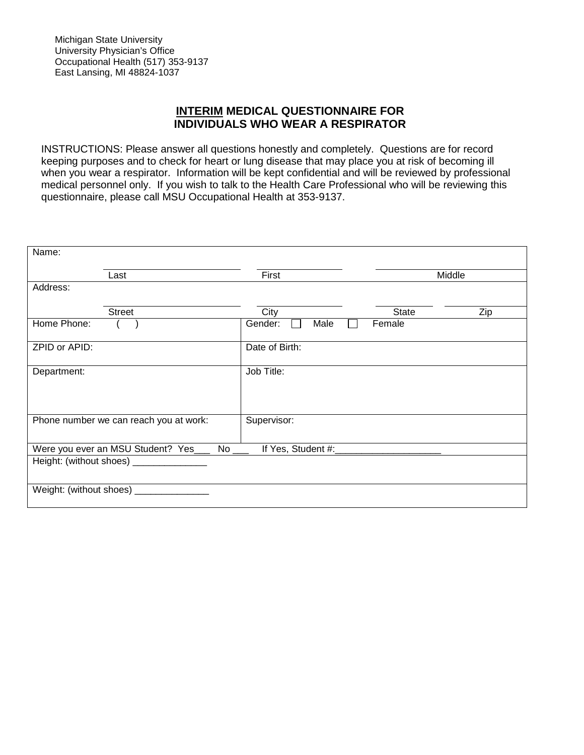## **INTERIM MEDICAL QUESTIONNAIRE FOR INDIVIDUALS WHO WEAR A RESPIRATOR**

INSTRUCTIONS: Please answer all questions honestly and completely. Questions are for record keeping purposes and to check for heart or lung disease that may place you at risk of becoming ill when you wear a respirator. Information will be kept confidential and will be reviewed by professional medical personnel only. If you wish to talk to the Health Care Professional who will be reviewing this questionnaire, please call MSU Occupational Health at 353-9137.

| Name:         |                                          |                      |        |     |
|---------------|------------------------------------------|----------------------|--------|-----|
|               | Last                                     | First                | Middle |     |
| Address:      |                                          |                      |        |     |
|               | <b>Street</b>                            | City                 | State  | Zip |
| Home Phone:   |                                          | Gender:<br>Male      | Female |     |
| ZPID or APID: |                                          | Date of Birth:       |        |     |
| Department:   |                                          | Job Title:           |        |     |
|               |                                          |                      |        |     |
|               |                                          |                      |        |     |
|               | Phone number we can reach you at work:   | Supervisor:          |        |     |
|               |                                          |                      |        |     |
|               | Were you ever an MSU Student? Yes_       | If Yes, Student #:__ |        |     |
|               | Height: (without shoes) _______________  |                      |        |     |
|               |                                          |                      |        |     |
|               | Weight: (without shoes) ________________ |                      |        |     |
|               |                                          |                      |        |     |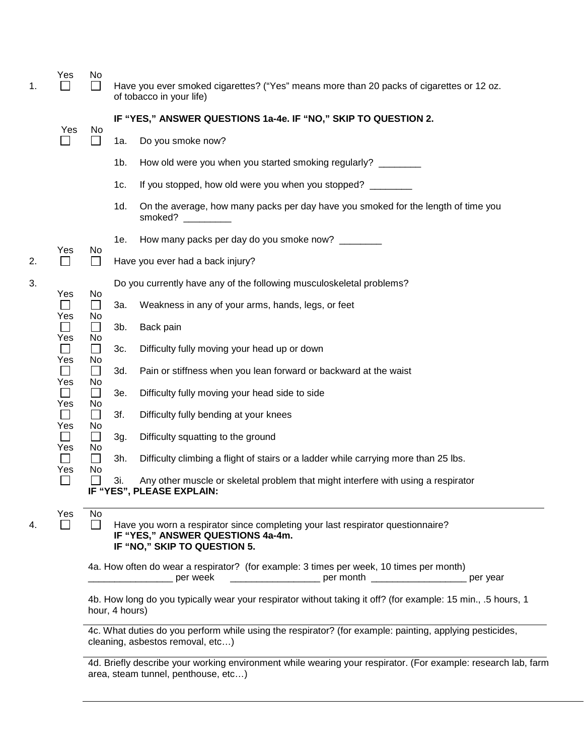| 1. | Yes                 | No                           |                | Have you ever smoked cigarettes? ("Yes" means more than 20 packs of cigarettes or 12 oz.<br>of tobacco in your life)                                 |
|----|---------------------|------------------------------|----------------|------------------------------------------------------------------------------------------------------------------------------------------------------|
|    | Yes                 |                              |                | IF "YES," ANSWER QUESTIONS 1a-4e. IF "NO," SKIP TO QUESTION 2.                                                                                       |
|    |                     | No                           | 1a.            | Do you smoke now?                                                                                                                                    |
|    |                     |                              | 1b.            | How old were you when you started smoking regularly? _______                                                                                         |
|    |                     |                              | 1c.            | If you stopped, how old were you when you stopped?                                                                                                   |
|    |                     |                              | 1d.            | On the average, how many packs per day have you smoked for the length of time you<br>smoked?                                                         |
|    |                     |                              | 1e.            | How many packs per day do you smoke now? ________                                                                                                    |
| 2. | Yes<br>$\Box$       | No<br>$\Box$                 |                | Have you ever had a back injury?                                                                                                                     |
| 3. | Yes                 | No                           |                | Do you currently have any of the following musculoskeletal problems?                                                                                 |
|    | $\Box$<br>Yes       | $\Box$<br>No                 | За.            | Weakness in any of your arms, hands, legs, or feet                                                                                                   |
|    | $\Box$<br>Yes       | $\Box$<br>No                 | 3b.            | Back pain                                                                                                                                            |
|    | Yes                 | $\Box$<br>No                 | 3c.            | Difficulty fully moving your head up or down                                                                                                         |
|    | Yes                 | $\Box$<br>No                 | 3d.            | Pain or stiffness when you lean forward or backward at the waist                                                                                     |
|    | $\mathbf{L}$<br>Yes | $\Box$<br>No                 | 3e.            | Difficulty fully moving your head side to side                                                                                                       |
|    | $\mathsf{L}$<br>Yes | $\Box$<br>No                 | 3f.            | Difficulty fully bending at your knees                                                                                                               |
|    | $\perp$<br>Yes      | $\Box$<br>No<br>$\Box$<br>No | 3g.            | Difficulty squatting to the ground                                                                                                                   |
|    | $\Box$<br>Yes       |                              | 3h.            | Difficulty climbing a flight of stairs or a ladder while carrying more than 25 lbs.                                                                  |
|    | $\Box$              |                              | 3i.            | Any other muscle or skeletal problem that might interfere with using a respirator<br>IF "YES", PLEASE EXPLAIN:                                       |
| 4. | Yes<br>$\perp$      | No<br>$\mathsf{L}$           |                | Have you worn a respirator since completing your last respirator questionnaire?<br>IF "YES," ANSWER QUESTIONS 4a-4m.<br>IF "NO," SKIP TO QUESTION 5. |
|    |                     |                              |                | 4a. How often do wear a respirator? (for example: 3 times per week, 10 times per month)<br>per month ______________________ per year<br>per week     |
|    |                     |                              | hour, 4 hours) | 4b. How long do you typically wear your respirator without taking it off? (for example: 15 min., .5 hours, 1                                         |
|    |                     |                              |                | 4c. What duties do you perform while using the respirator? (for example: painting, applying pesticides,<br>cleaning, asbestos removal, etc)          |

4d. Briefly describe your working environment while wearing your respirator. (For example: research lab, farm area, steam tunnel, penthouse, etc…)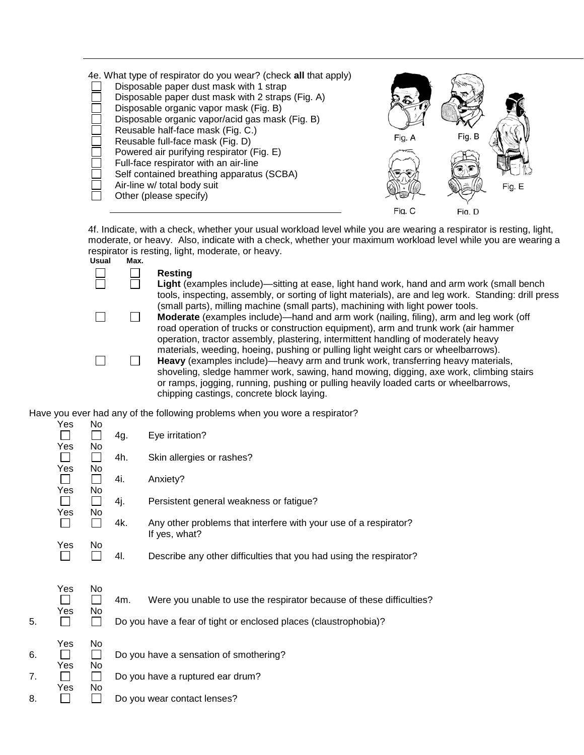| 4e. What type of respirator do you wear? (check all that apply)<br>Disposable paper dust mask with 1 strap<br>Disposable paper dust mask with 2 straps (Fig. A)<br>Disposable organic vapor mask (Fig. B)<br>Disposable organic vapor/acid gas mask (Fig. B)<br>Reusable half-face mask (Fig. C.)<br>Reusable full-face mask (Fig. D)<br>Powered air purifying respirator (Fig. E)<br>Full-face respirator with an air-line<br>Self contained breathing apparatus (SCBA)<br>Air-line w/ total body suit<br>Other (please specify) | Fig. A | Fig. B | Fig. E |
|-----------------------------------------------------------------------------------------------------------------------------------------------------------------------------------------------------------------------------------------------------------------------------------------------------------------------------------------------------------------------------------------------------------------------------------------------------------------------------------------------------------------------------------|--------|--------|--------|
|                                                                                                                                                                                                                                                                                                                                                                                                                                                                                                                                   | Fig. C | Fia. D |        |

4f. Indicate, with a check, whether your usual workload level while you are wearing a respirator is resting, light, moderate, or heavy. Also, indicate with a check, whether your maximum workload level while you are wearing a respirator is resting, light, moderate, or heavy. **Usual Max.**

| suar | Max. |                                                                                                    |
|------|------|----------------------------------------------------------------------------------------------------|
|      |      | Resting                                                                                            |
|      |      | Light (examples include)—sitting at ease, light hand work, hand and arm work (small bench          |
|      |      | tools, inspecting, assembly, or sorting of light materials), are and leg work. Standing: drill pro |
|      |      | (small parts), milling machine (small parts), machining with light power tools.                    |
|      |      | <b>Moderate</b> (examples include)—band and arm work (pailing filing) arm and leg work (off        |

 $\Box$ 

ools, inspecting, assembly, or sorting of light materials), are and leg work. Standing: drill press (small parts), milling machine (small parts), machining with light power tools. **Moderate** (examples include)—hand and arm work (nailing, filing), arm and leg work (off road operation of trucks or construction equipment), arm and trunk work (air hammer operation, tractor assembly, plastering, intermittent handling of moderately heavy materials, weeding, hoeing, pushing or pulling light weight cars or wheelbarrows). **Heavy** (examples include)—heavy arm and trunk work, transferring heavy materials,

 $\Box$ shoveling, sledge hammer work, sawing, hand mowing, digging, axe work, climbing stairs or ramps, jogging, running, pushing or pulling heavily loaded carts or wheelbarrows, chipping castings, concrete block laying.

Have you ever had any of the following problems when you wore a respirator?

|          | Yes<br>Yes<br>Yes<br>Yes<br>Yes<br>Yes | No<br>No<br>$\mathsf{L}$<br>No<br>$\mathbf{I}$<br>No<br>$\mathbf{I}$<br>No.<br>No<br>$\mathsf{L}$ | 4g.<br>4h.<br>4i.<br>4j.<br>4k.<br>4I. | Eye irritation?<br>Skin allergies or rashes?<br>Anxiety?<br>Persistent general weakness or fatigue?<br>Any other problems that interfere with your use of a respirator?<br>If yes, what?<br>Describe any other difficulties that you had using the respirator? |
|----------|----------------------------------------|---------------------------------------------------------------------------------------------------|----------------------------------------|----------------------------------------------------------------------------------------------------------------------------------------------------------------------------------------------------------------------------------------------------------------|
| 5.       | Yes<br>Yes                             | No<br>$\mathbf{I}$<br>No.<br>$\mathsf{L}$                                                         | 4m.                                    | Were you unable to use the respirator because of these difficulties?<br>Do you have a fear of tight or enclosed places (claustrophobia)?                                                                                                                       |
| 6.       | Yes<br>Yes                             | No<br>П<br>No                                                                                     |                                        | Do you have a sensation of smothering?                                                                                                                                                                                                                         |
| 7.<br>8. | Yes                                    | $\perp$<br>No                                                                                     |                                        | Do you have a ruptured ear drum?<br>Do you wear contact lenses?                                                                                                                                                                                                |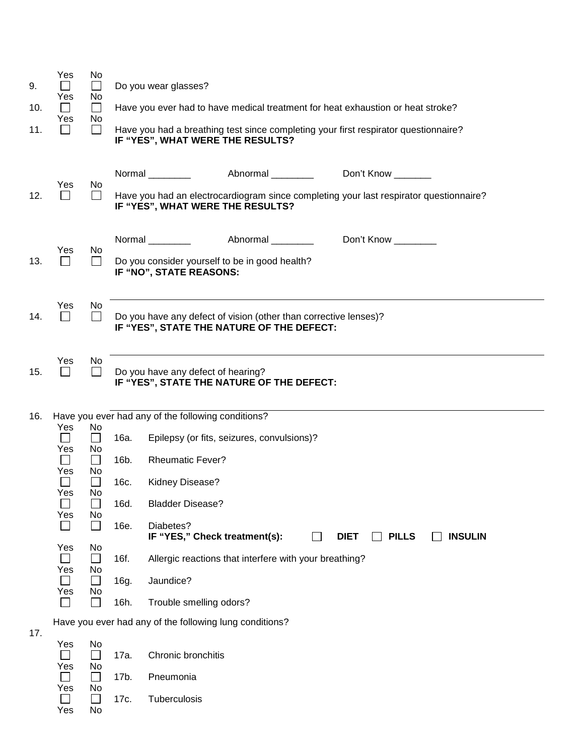| 9.<br>10.<br>11. | Yes<br>Yes<br>П<br>Yes<br>$\mathsf{L}$ | No<br>$\Box$<br>No<br>$\Box$<br>No<br>$\overline{\phantom{a}}$ |      | Do you wear glasses?<br>IF "YES", WHAT WERE THE RESULTS?                                                        | Have you ever had to have medical treatment for heat exhaustion or heat stroke?<br>Have you had a breathing test since completing your first respirator questionnaire? |  |
|------------------|----------------------------------------|----------------------------------------------------------------|------|-----------------------------------------------------------------------------------------------------------------|------------------------------------------------------------------------------------------------------------------------------------------------------------------------|--|
| 12.              | Yes                                    | No<br>$\Box$                                                   |      | Normal ___________ Abnormal ________<br>IF "YES", WHAT WERE THE RESULTS?                                        | Don't Know _______<br>Have you had an electrocardiogram since completing your last respirator questionnaire?                                                           |  |
| 13.              | Yes                                    | No<br>$\perp$                                                  |      | Normal Normal<br>Abnormal ________<br>Do you consider yourself to be in good health?<br>IF "NO", STATE REASONS: | Don't Know                                                                                                                                                             |  |
| 14.              | Yes<br>$\Box$                          | No<br>$\Box$                                                   |      | Do you have any defect of vision (other than corrective lenses)?<br>IF "YES", STATE THE NATURE OF THE DEFECT:   |                                                                                                                                                                        |  |
| 15.              | Yes<br>$\Box$                          | No<br>$\Box$                                                   |      | Do you have any defect of hearing?<br>IF "YES", STATE THE NATURE OF THE DEFECT:                                 |                                                                                                                                                                        |  |
| 16.              |                                        |                                                                |      | Have you ever had any of the following conditions?                                                              |                                                                                                                                                                        |  |
|                  | Yes<br>$\Box$                          | No<br>$\overline{\phantom{a}}$                                 | 16a. | Epilepsy (or fits, seizures, convulsions)?                                                                      |                                                                                                                                                                        |  |
|                  | Yes<br>$\Box$                          | No<br>$\Box$                                                   | 16b. | <b>Rheumatic Fever?</b>                                                                                         |                                                                                                                                                                        |  |
|                  | Yes                                    |                                                                |      |                                                                                                                 |                                                                                                                                                                        |  |
|                  |                                        | No<br>$\Box$                                                   | 16c. | Kidney Disease?                                                                                                 |                                                                                                                                                                        |  |
|                  | Yes                                    | No<br>$\mathsf{L}$                                             | 16d. | <b>Bladder Disease?</b>                                                                                         |                                                                                                                                                                        |  |
|                  | Yes                                    | No<br>$\mathbf{L}$                                             | 16e. | Diabetes?                                                                                                       | $\mathsf{L}$<br>$\blacksquare$                                                                                                                                         |  |
|                  | Yes                                    | No<br>$\Box$                                                   | 16f. | IF "YES," Check treatment(s):<br>Allergic reactions that interfere with your breathing?                         | <b>DIET</b><br><b>PILLS</b><br><b>INSULIN</b>                                                                                                                          |  |
|                  | Yes<br>$\Box$                          | No<br>$\Box$                                                   | 16g. | Jaundice?                                                                                                       |                                                                                                                                                                        |  |
|                  | Yes<br>П                               | No<br>$\Box$                                                   | 16h. | Trouble smelling odors?                                                                                         |                                                                                                                                                                        |  |
|                  |                                        |                                                                |      | Have you ever had any of the following lung conditions?                                                         |                                                                                                                                                                        |  |
| 17.              | Yes                                    | No<br>$\Box$                                                   | 17a. | Chronic bronchitis                                                                                              |                                                                                                                                                                        |  |
|                  | Yes<br>П<br>Yes                        | No<br>$\Box$<br>No                                             | 17b. | Pneumonia                                                                                                       |                                                                                                                                                                        |  |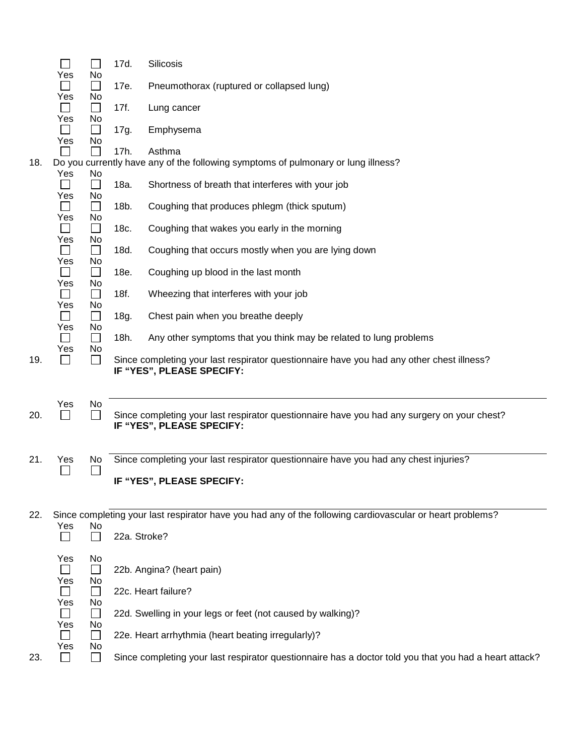|     |               | $\mathcal{L}_{\mathcal{A}}$ | 17d.         | <b>Silicosis</b>                                                                                                         |
|-----|---------------|-----------------------------|--------------|--------------------------------------------------------------------------------------------------------------------------|
|     | Yes           | No                          |              |                                                                                                                          |
|     |               | $\Box$                      | 17e.         | Pneumothorax (ruptured or collapsed lung)                                                                                |
|     | Yes           | No<br>$\Box$                | 17f.         | Lung cancer                                                                                                              |
|     | Yes           | No                          |              |                                                                                                                          |
|     | $\Box$<br>Yes | $\Box$<br>No                | 17g.         | Emphysema                                                                                                                |
|     |               | $\mathbb{R}^n$              | 17h.         | Asthma                                                                                                                   |
| 18. |               |                             |              | Do you currently have any of the following symptoms of pulmonary or lung illness?                                        |
|     | Yes           | No                          | 18a.         | Shortness of breath that interferes with your job                                                                        |
|     | Yes           | No<br>$\Box$                | 18b.         | Coughing that produces phlegm (thick sputum)                                                                             |
|     | Yes           | No<br>$\Box$                | 18c.         | Coughing that wakes you early in the morning                                                                             |
|     | Yes           | No<br>$\Box$                | 18d.         | Coughing that occurs mostly when you are lying down                                                                      |
|     | Yes<br>Yes    | No<br>$\Box$<br>No          | 18e.         | Coughing up blood in the last month                                                                                      |
|     | Yes           | $\Box$<br>No                | 18f.         | Wheezing that interferes with your job                                                                                   |
|     | Yes           | $\Box$<br>No                | 18g.         | Chest pain when you breathe deeply                                                                                       |
|     | Yes           | $\Box$<br>No                | 18h.         | Any other symptoms that you think may be related to lung problems                                                        |
| 19. |               | $\mathsf{L}$                |              | Since completing your last respirator questionnaire have you had any other chest illness?<br>IF "YES", PLEASE SPECIFY:   |
|     | Yes           | No                          |              |                                                                                                                          |
| 20. |               | $\mathbf{L}$                |              | Since completing your last respirator questionnaire have you had any surgery on your chest?<br>IF "YES", PLEASE SPECIFY: |
|     |               |                             |              |                                                                                                                          |
| 21. | Yes           | No                          |              | Since completing your last respirator questionnaire have you had any chest injuries?                                     |
|     |               |                             |              | IF "YES", PLEASE SPECIFY:                                                                                                |
|     |               |                             |              |                                                                                                                          |
| 22. |               |                             |              | Since completing your last respirator have you had any of the following cardiovascular or heart problems?                |
|     | Yes           | No<br>$\perp$               | 22a. Stroke? |                                                                                                                          |
|     | Yes           | No                          |              |                                                                                                                          |
|     |               | $\mathbb{R}^n$              |              | 22b. Angina? (heart pain)                                                                                                |
|     | Yes           | No                          |              |                                                                                                                          |
|     | Yes           | $\Box$<br>No                |              | 22c. Heart failure?                                                                                                      |
|     | Yes           | $\Box$<br>No                |              | 22d. Swelling in your legs or feet (not caused by walking)?                                                              |
|     | Yes           | $\Box$<br>No                |              | 22e. Heart arrhythmia (heart beating irregularly)?                                                                       |
| 23. |               |                             |              | Since completing your last respirator questionnaire has a doctor told you that you had a heart attack?                   |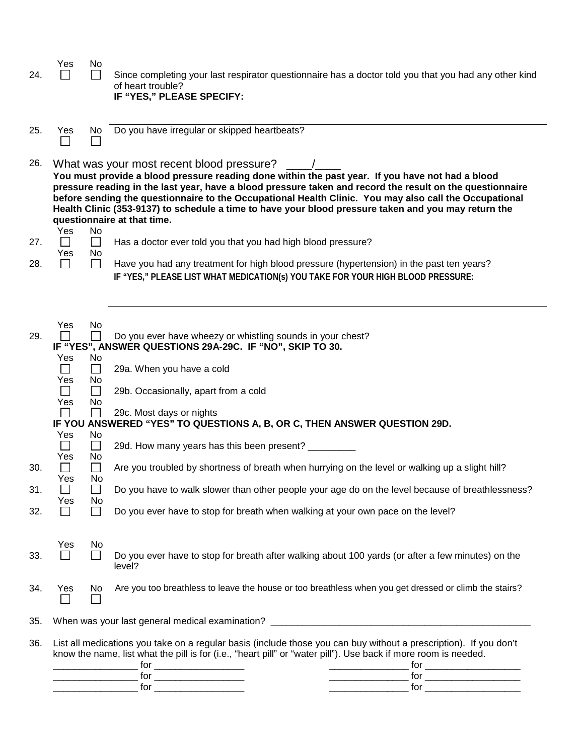| 24.                      | Yes                                                                                                        | No                                                                                                        | Since completing your last respirator questionnaire has a doctor told you that you had any other kind<br>of heart trouble?<br>IF "YES," PLEASE SPECIFY:                                                                                                                                                                                                                                                                                                                                                                                                                                                                                               |
|--------------------------|------------------------------------------------------------------------------------------------------------|-----------------------------------------------------------------------------------------------------------|-------------------------------------------------------------------------------------------------------------------------------------------------------------------------------------------------------------------------------------------------------------------------------------------------------------------------------------------------------------------------------------------------------------------------------------------------------------------------------------------------------------------------------------------------------------------------------------------------------------------------------------------------------|
| 25.                      | Yes                                                                                                        | No.                                                                                                       | Do you have irregular or skipped heartbeats?                                                                                                                                                                                                                                                                                                                                                                                                                                                                                                                                                                                                          |
| 26.                      | Yes                                                                                                        | No                                                                                                        | What was your most recent blood pressure?<br>You must provide a blood pressure reading done within the past year. If you have not had a blood<br>pressure reading in the last year, have a blood pressure taken and record the result on the questionnaire<br>before sending the questionnaire to the Occupational Health Clinic. You may also call the Occupational<br>Health Clinic (353-9137) to schedule a time to have your blood pressure taken and you may return the<br>questionnaire at that time.                                                                                                                                           |
| 27.                      | $\mathsf{L}$                                                                                               | $\Box$                                                                                                    | Has a doctor ever told you that you had high blood pressure?                                                                                                                                                                                                                                                                                                                                                                                                                                                                                                                                                                                          |
| 28.                      | Yes<br>$\Box$                                                                                              | No<br>$\Box$                                                                                              | Have you had any treatment for high blood pressure (hypertension) in the past ten years?<br>IF "YES," PLEASE LIST WHAT MEDICATION(s) YOU TAKE FOR YOUR HIGH BLOOD PRESSURE:                                                                                                                                                                                                                                                                                                                                                                                                                                                                           |
| 29.<br>30.<br>31.<br>32. | Yes<br>Yes<br>П<br>Yes<br>П<br>Yes<br>Yes<br>$\Box$<br>Yes<br>L.<br>Yes<br>$\blacksquare$<br>Yes<br>$\Box$ | No<br>No<br>$\Box$<br>No<br>$\Box$<br>No<br>No<br>$\Box$<br>No<br>П<br>No<br>$\vert \ \ \vert$<br>No<br>П | Do you ever have wheezy or whistling sounds in your chest?<br>IF "YES", ANSWER QUESTIONS 29A-29C. IF "NO", SKIP TO 30.<br>29a. When you have a cold<br>29b. Occasionally, apart from a cold<br>29c. Most days or nights<br>IF YOU ANSWERED "YES" TO QUESTIONS A, B, OR C, THEN ANSWER QUESTION 29D.<br>29d. How many years has this been present? _________<br>Are you troubled by shortness of breath when hurrying on the level or walking up a slight hill?<br>Do you have to walk slower than other people your age do on the level because of breathlessness?<br>Do you ever have to stop for breath when walking at your own pace on the level? |
| 33.                      | Yes<br>$\vert \ \ \vert$                                                                                   | No.<br>$\Box$                                                                                             | Do you ever have to stop for breath after walking about 100 yards (or after a few minutes) on the<br>level?                                                                                                                                                                                                                                                                                                                                                                                                                                                                                                                                           |
| 34.                      | Yes                                                                                                        | No.<br>$\Box$                                                                                             | Are you too breathless to leave the house or too breathless when you get dressed or climb the stairs?                                                                                                                                                                                                                                                                                                                                                                                                                                                                                                                                                 |
| 35.                      |                                                                                                            |                                                                                                           |                                                                                                                                                                                                                                                                                                                                                                                                                                                                                                                                                                                                                                                       |
| 36.                      |                                                                                                            |                                                                                                           | List all medications you take on a regular basis (include those you can buy without a prescription). If you don't<br>know the name, list what the pill is for (i.e., "heart pill" or "water pill"). Use back if more room is needed.<br>$for \_\_\_\_\_\_\_$<br><u> 1980 - Johann Barn, mars eta bainar eta i</u>                                                                                                                                                                                                                                                                                                                                     |